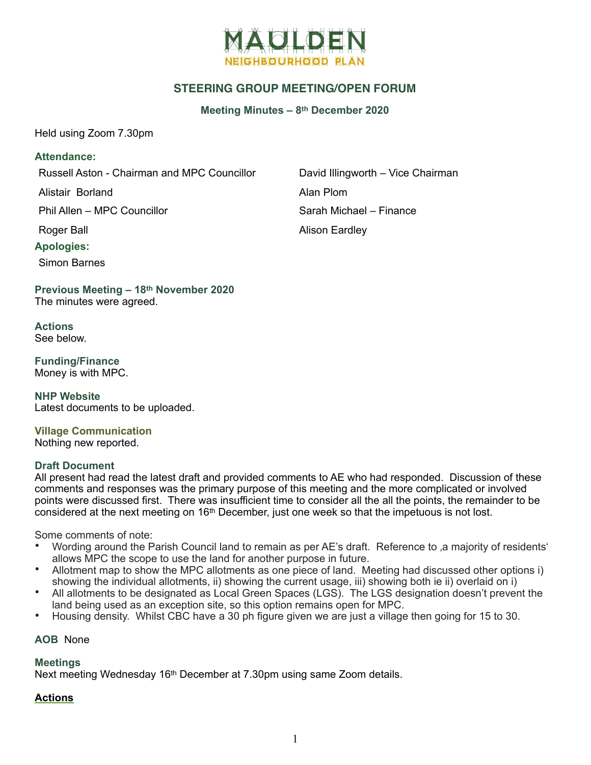

# **STEERING GROUP MEETING/OPEN FORUM**

**Meeting Minutes – 8th December 2020**

Held using Zoom 7.30pm

## **Attendance:**

Russell Aston - Chairman and MPC Councillor David Illingworth – Vice Chairman

Alistair Borland **Alistair Borland** 

Phil Allen – MPC Councillor Sarah Michael – Finance

**Apologies:** 

Simon Barnes

**Previous Meeting – 18th November 2020**  The minutes were agreed.

**Actions**  See below.

**Funding/Finance**  Money is with MPC.

**NHP Website**  Latest documents to be uploaded.

**Village Communication**  Nothing new reported.

#### **Draft Document**

All present had read the latest draft and provided comments to AE who had responded. Discussion of these comments and responses was the primary purpose of this meeting and the more complicated or involved points were discussed first. There was insufficient time to consider all the all the points, the remainder to be considered at the next meeting on 16th December, just one week so that the impetuous is not lost.

Some comments of note:

- Wording around the Parish Council land to remain as per AE's draft. Reference to 'a majority of residents' allows MPC the scope to use the land for another purpose in future.
- Allotment map to show the MPC allotments as one piece of land. Meeting had discussed other options i) showing the individual allotments, ii) showing the current usage, iii) showing both ie ii) overlaid on i)
- All allotments to be designated as Local Green Spaces (LGS). The LGS designation doesn't prevent the land being used as an exception site, so this option remains open for MPC.
- Housing density. Whilst CBC have a 30 ph figure given we are just a village then going for 15 to 30.

## **AOB** None

#### **Meetings**

Next meeting Wednesday 16<sup>th</sup> December at 7.30pm using same Zoom details.

## **Actions**

Roger Ball **Alison Eardley**